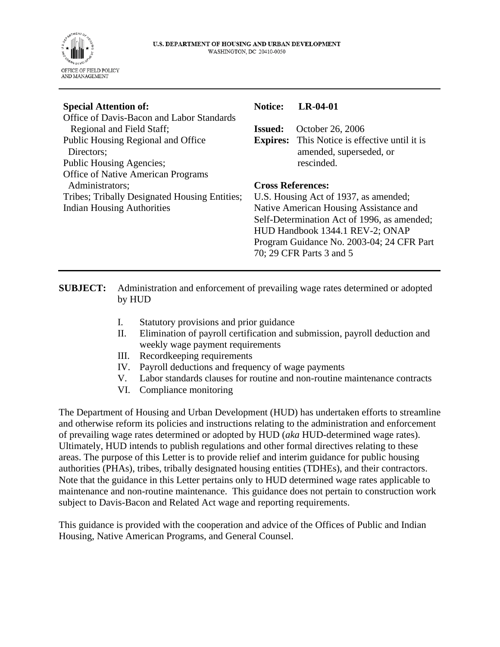

| <b>Special Attention of:</b>                  | <b>Notice:</b>                         | $LR-04-01$                                  |
|-----------------------------------------------|----------------------------------------|---------------------------------------------|
| Office of Davis-Bacon and Labor Standards     |                                        |                                             |
| Regional and Field Staff;                     | <b>Issued:</b>                         | October 26, 2006                            |
| Public Housing Regional and Office            | <b>Expires:</b>                        | This Notice is effective until it is        |
| Directors;                                    |                                        | amended, superseded, or                     |
| <b>Public Housing Agencies;</b>               |                                        | rescinded.                                  |
| <b>Office of Native American Programs</b>     |                                        |                                             |
| Administrators;                               | <b>Cross References:</b>               |                                             |
| Tribes; Tribally Designated Housing Entities; | U.S. Housing Act of 1937, as amended;  |                                             |
| <b>Indian Housing Authorities</b>             | Native American Housing Assistance and |                                             |
|                                               |                                        | Self-Determination Act of 1996, as amended; |
|                                               |                                        | HUD Handbook 1344.1 REV-2; ONAP             |
|                                               |                                        | Program Guidance No. 2003-04; 24 CFR Part   |
|                                               |                                        | 70: 29 CFR Parts 3 and 5                    |

#### **SUBJECT:** Administration and enforcement of prevailing wage rates determined or adopted by HUD

- I. Statutory provisions and prior guidance
- II. Elimination of payroll certification and submission, payroll deduction and weekly wage payment requirements
- III. Recordkeeping requirements
- IV. Payroll deductions and frequency of wage payments
- V. Labor standards clauses for routine and non-routine maintenance contracts
- VI. Compliance monitoring

The Department of Housing and Urban Development (HUD) has undertaken efforts to streamline and otherwise reform its policies and instructions relating to the administration and enforcement of prevailing wage rates determined or adopted by HUD (*aka* HUD-determined wage rates). Ultimately, HUD intends to publish regulations and other formal directives relating to these areas. The purpose of this Letter is to provide relief and interim guidance for public housing authorities (PHAs), tribes, tribally designated housing entities (TDHEs), and their contractors. Note that the guidance in this Letter pertains only to HUD determined wage rates applicable to maintenance and non-routine maintenance. This guidance does not pertain to construction work subject to Davis-Bacon and Related Act wage and reporting requirements.

This guidance is provided with the cooperation and advice of the Offices of Public and Indian Housing, Native American Programs, and General Counsel.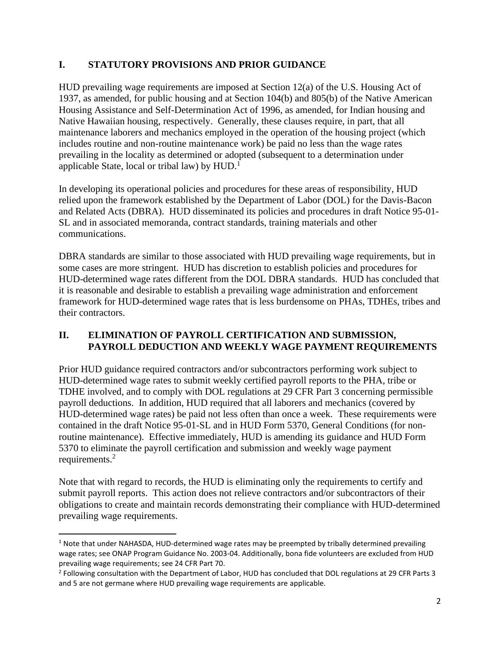### **I. STATUTORY PROVISIONS AND PRIOR GUIDANCE**

HUD prevailing wage requirements are imposed at Section 12(a) of the U.S. Housing Act of 1937, as amended, for public housing and at Section 104(b) and 805(b) of the Native American Housing Assistance and Self-Determination Act of 1996, as amended, for Indian housing and Native Hawaiian housing, respectively. Generally, these clauses require, in part, that all maintenance laborers and mechanics employed in the operation of the housing project (which includes routine and non-routine maintenance work) be paid no less than the wage rates prevailing in the locality as determined or adopted (subsequent to a determination under applicable State, local or tribal law) by HUD.<sup>1</sup>

In developing its operational policies and procedures for these areas of responsibility, HUD relied upon the framework established by the Department of Labor (DOL) for the Davis-Bacon and Related Acts (DBRA). HUD disseminated its policies and procedures in draft Notice 95-01- SL and in associated memoranda, contract standards, training materials and other communications.

DBRA standards are similar to those associated with HUD prevailing wage requirements, but in some cases are more stringent. HUD has discretion to establish policies and procedures for HUD-determined wage rates different from the DOL DBRA standards. HUD has concluded that it is reasonable and desirable to establish a prevailing wage administration and enforcement framework for HUD-determined wage rates that is less burdensome on PHAs, TDHEs, tribes and their contractors.

#### **II. ELIMINATION OF PAYROLL CERTIFICATION AND SUBMISSION, PAYROLL DEDUCTION AND WEEKLY WAGE PAYMENT REQUIREMENTS**

Prior HUD guidance required contractors and/or subcontractors performing work subject to HUD-determined wage rates to submit weekly certified payroll reports to the PHA, tribe or TDHE involved, and to comply with DOL regulations at 29 CFR Part 3 concerning permissible payroll deductions. In addition, HUD required that all laborers and mechanics (covered by HUD-determined wage rates) be paid not less often than once a week. These requirements were contained in the draft Notice 95-01-SL and in HUD Form 5370, General Conditions (for nonroutine maintenance). Effective immediately, HUD is amending its guidance and HUD Form 5370 to eliminate the payroll certification and submission and weekly wage payment requirements.<sup>2</sup>

Note that with regard to records, the HUD is eliminating only the requirements to certify and submit payroll reports. This action does not relieve contractors and/or subcontractors of their obligations to create and maintain records demonstrating their compliance with HUD-determined prevailing wage requirements.

 $1$  Note that under NAHASDA, HUD-determined wage rates may be preempted by tribally determined prevailing wage rates; see ONAP Program Guidance No. 2003-04. Additionally, bona fide volunteers are excluded from HUD prevailing wage requirements; see 24 CFR Part 70.

<sup>&</sup>lt;sup>2</sup> Following consultation with the Department of Labor, HUD has concluded that DOL regulations at 29 CFR Parts 3 and 5 are not germane where HUD prevailing wage requirements are applicable.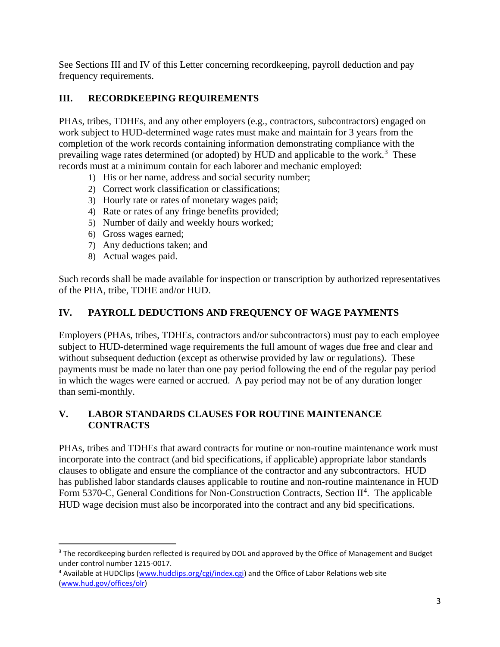See Sections III and IV of this Letter concerning recordkeeping, payroll deduction and pay frequency requirements.

# **III. RECORDKEEPING REQUIREMENTS**

PHAs, tribes, TDHEs, and any other employers (e.g., contractors, subcontractors) engaged on work subject to HUD-determined wage rates must make and maintain for 3 years from the completion of the work records containing information demonstrating compliance with the prevailing wage rates determined (or adopted) by HUD and applicable to the work.<sup>3</sup> These records must at a minimum contain for each laborer and mechanic employed:

- 1) His or her name, address and social security number;
- 2) Correct work classification or classifications;
- 3) Hourly rate or rates of monetary wages paid;
- 4) Rate or rates of any fringe benefits provided;
- 5) Number of daily and weekly hours worked;
- 6) Gross wages earned;
- 7) Any deductions taken; and
- 8) Actual wages paid.

Such records shall be made available for inspection or transcription by authorized representatives of the PHA, tribe, TDHE and/or HUD.

# **IV. PAYROLL DEDUCTIONS AND FREQUENCY OF WAGE PAYMENTS**

Employers (PHAs, tribes, TDHEs, contractors and/or subcontractors) must pay to each employee subject to HUD-determined wage requirements the full amount of wages due free and clear and without subsequent deduction (except as otherwise provided by law or regulations). These payments must be made no later than one pay period following the end of the regular pay period in which the wages were earned or accrued. A pay period may not be of any duration longer than semi-monthly.

# **V. LABOR STANDARDS CLAUSES FOR ROUTINE MAINTENANCE CONTRACTS**

PHAs, tribes and TDHEs that award contracts for routine or non-routine maintenance work must incorporate into the contract (and bid specifications, if applicable) appropriate labor standards clauses to obligate and ensure the compliance of the contractor and any subcontractors. HUD has published labor standards clauses applicable to routine and non-routine maintenance in HUD Form 5370-C, General Conditions for Non-Construction Contracts, Section II<sup>4</sup>. The applicable HUD wage decision must also be incorporated into the contract and any bid specifications.

<sup>&</sup>lt;sup>3</sup> The recordkeeping burden reflected is required by DOL and approved by the Office of Management and Budget under control number 1215-0017.

<sup>4</sup> Available at HUDClips [\(www.hudclips.org/cgi/index.cgi\)](http://www.hudclips.org/cgi/index.cgi) and the Office of Labor Relations web site [\(www.hud.gov/offices/olr\)](http://www.hud.gov/offices/olr)